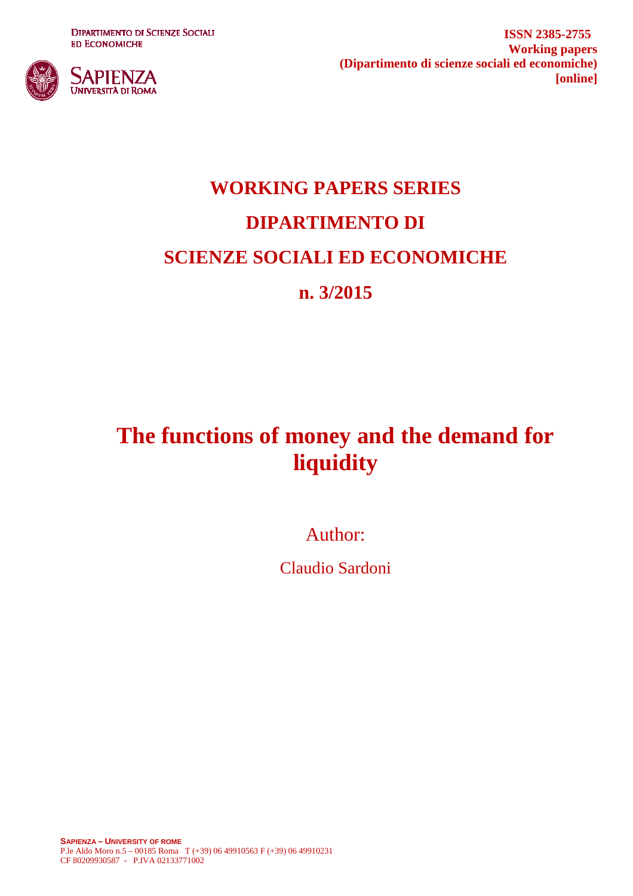**DIPARTIMENTO DI SCIENZE SOCIALI ED ECONOMICHE** 



**ISSN 2385-2755 Working papers (Dipartimento di scienze sociali ed economiche) [online]**

# **WORKING PAPERS SERIES DIPARTIMENTO DI SCIENZE SOCIALI ED ECONOMICHE n. 3/2015**

# **The functions of money and the demand for liquidity**

Author:

Claudio Sardoni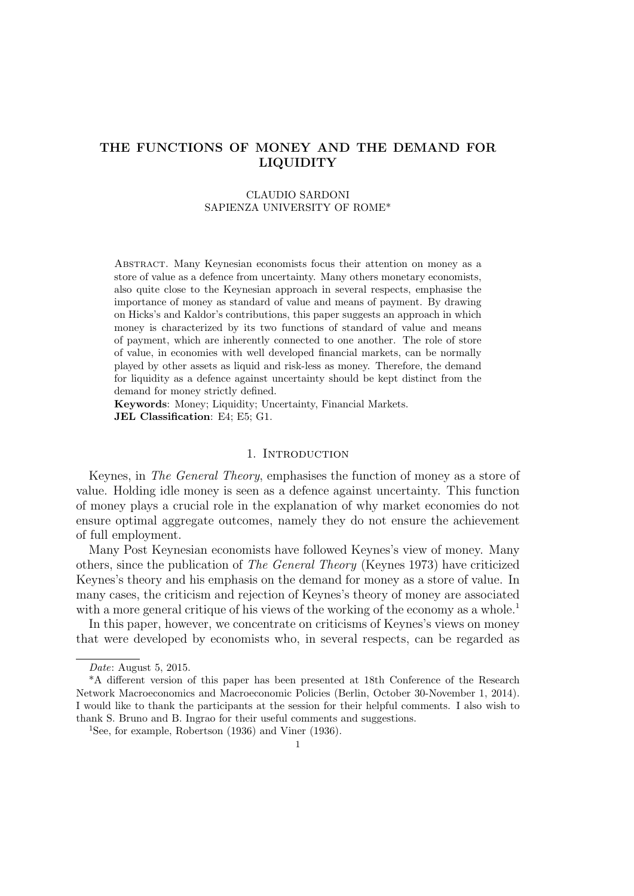# THE FUNCTIONS OF MONEY AND THE DEMAND FOR LIQUIDITY

# CLAUDIO SARDONI SAPIENZA UNIVERSITY OF ROME\*

Abstract. Many Keynesian economists focus their attention on money as a store of value as a defence from uncertainty. Many others monetary economists, also quite close to the Keynesian approach in several respects, emphasise the importance of money as standard of value and means of payment. By drawing on Hicks's and Kaldor's contributions, this paper suggests an approach in which money is characterized by its two functions of standard of value and means of payment, which are inherently connected to one another. The role of store of value, in economies with well developed financial markets, can be normally played by other assets as liquid and risk-less as money. Therefore, the demand for liquidity as a defence against uncertainty should be kept distinct from the demand for money strictly defined.

Keywords: Money; Liquidity; Uncertainty, Financial Markets. JEL Classification: E4; E5; G1.

# 1. INTRODUCTION

Keynes, in The General Theory, emphasises the function of money as a store of value. Holding idle money is seen as a defence against uncertainty. This function of money plays a crucial role in the explanation of why market economies do not ensure optimal aggregate outcomes, namely they do not ensure the achievement of full employment.

Many Post Keynesian economists have followed Keynes's view of money. Many others, since the publication of The General Theory (Keynes 1973) have criticized Keynes's theory and his emphasis on the demand for money as a store of value. In many cases, the criticism and rejection of Keynes's theory of money are associated with a more general critique of his views of the working of the economy as a whole.<sup>1</sup>

In this paper, however, we concentrate on criticisms of Keynes's views on money that were developed by economists who, in several respects, can be regarded as

Date: August 5, 2015.

<sup>\*</sup>A different version of this paper has been presented at 18th Conference of the Research Network Macroeconomics and Macroeconomic Policies (Berlin, October 30-November 1, 2014). I would like to thank the participants at the session for their helpful comments. I also wish to thank S. Bruno and B. Ingrao for their useful comments and suggestions.

<sup>&</sup>lt;sup>1</sup>See, for example, Robertson  $(1936)$  and Viner  $(1936)$ .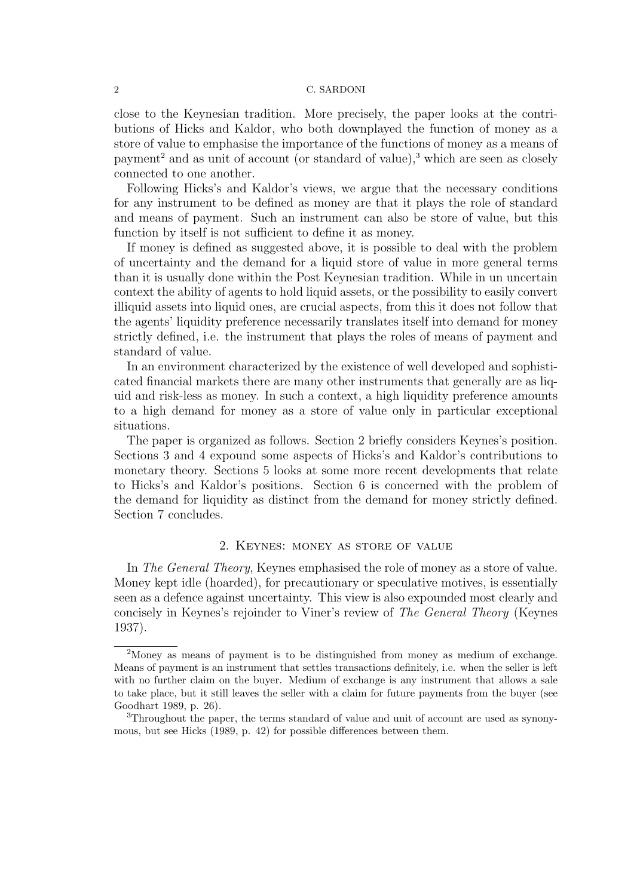close to the Keynesian tradition. More precisely, the paper looks at the contributions of Hicks and Kaldor, who both downplayed the function of money as a store of value to emphasise the importance of the functions of money as a means of payment<sup>2</sup> and as unit of account (or standard of value),<sup>3</sup> which are seen as closely connected to one another.

Following Hicks's and Kaldor's views, we argue that the necessary conditions for any instrument to be defined as money are that it plays the role of standard and means of payment. Such an instrument can also be store of value, but this function by itself is not sufficient to define it as money.

If money is defined as suggested above, it is possible to deal with the problem of uncertainty and the demand for a liquid store of value in more general terms than it is usually done within the Post Keynesian tradition. While in un uncertain context the ability of agents to hold liquid assets, or the possibility to easily convert illiquid assets into liquid ones, are crucial aspects, from this it does not follow that the agents' liquidity preference necessarily translates itself into demand for money strictly defined, i.e. the instrument that plays the roles of means of payment and standard of value.

In an environment characterized by the existence of well developed and sophisticated financial markets there are many other instruments that generally are as liquid and risk-less as money. In such a context, a high liquidity preference amounts to a high demand for money as a store of value only in particular exceptional situations.

The paper is organized as follows. Section 2 briefly considers Keynes's position. Sections 3 and 4 expound some aspects of Hicks's and Kaldor's contributions to monetary theory. Sections 5 looks at some more recent developments that relate to Hicks's and Kaldor's positions. Section 6 is concerned with the problem of the demand for liquidity as distinct from the demand for money strictly defined. Section 7 concludes.

### 2. Keynes: money as store of value

In The General Theory, Keynes emphasised the role of money as a store of value. Money kept idle (hoarded), for precautionary or speculative motives, is essentially seen as a defence against uncertainty. This view is also expounded most clearly and concisely in Keynes's rejoinder to Viner's review of The General Theory (Keynes 1937).

<sup>2</sup>Money as means of payment is to be distinguished from money as medium of exchange. Means of payment is an instrument that settles transactions definitely, i.e. when the seller is left with no further claim on the buyer. Medium of exchange is any instrument that allows a sale to take place, but it still leaves the seller with a claim for future payments from the buyer (see Goodhart 1989, p. 26).

<sup>3</sup>Throughout the paper, the terms standard of value and unit of account are used as synonymous, but see Hicks (1989, p. 42) for possible differences between them.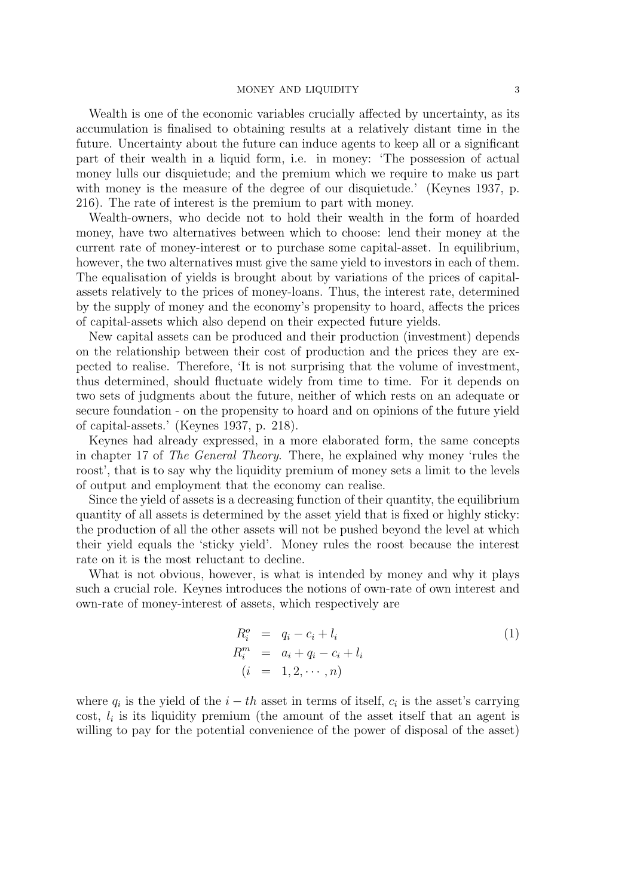#### MONEY AND LIQUIDITY 3

Wealth is one of the economic variables crucially affected by uncertainty, as its accumulation is finalised to obtaining results at a relatively distant time in the future. Uncertainty about the future can induce agents to keep all or a significant part of their wealth in a liquid form, i.e. in money: 'The possession of actual money lulls our disquietude; and the premium which we require to make us part with money is the measure of the degree of our disquietude.' (Keynes 1937, p. 216). The rate of interest is the premium to part with money.

Wealth-owners, who decide not to hold their wealth in the form of hoarded money, have two alternatives between which to choose: lend their money at the current rate of money-interest or to purchase some capital-asset. In equilibrium, however, the two alternatives must give the same yield to investors in each of them. The equalisation of yields is brought about by variations of the prices of capitalassets relatively to the prices of money-loans. Thus, the interest rate, determined by the supply of money and the economy's propensity to hoard, affects the prices of capital-assets which also depend on their expected future yields.

New capital assets can be produced and their production (investment) depends on the relationship between their cost of production and the prices they are expected to realise. Therefore, 'It is not surprising that the volume of investment, thus determined, should fluctuate widely from time to time. For it depends on two sets of judgments about the future, neither of which rests on an adequate or secure foundation - on the propensity to hoard and on opinions of the future yield of capital-assets.' (Keynes 1937, p. 218).

Keynes had already expressed, in a more elaborated form, the same concepts in chapter 17 of The General Theory. There, he explained why money 'rules the roost', that is to say why the liquidity premium of money sets a limit to the levels of output and employment that the economy can realise.

Since the yield of assets is a decreasing function of their quantity, the equilibrium quantity of all assets is determined by the asset yield that is fixed or highly sticky: the production of all the other assets will not be pushed beyond the level at which their yield equals the 'sticky yield'. Money rules the roost because the interest rate on it is the most reluctant to decline.

What is not obvious, however, is what is intended by money and why it plays such a crucial role. Keynes introduces the notions of own-rate of own interest and own-rate of money-interest of assets, which respectively are

$$
R_i^o = q_i - c_i + l_i
$$
  
\n
$$
R_i^m = a_i + q_i - c_i + l_i
$$
  
\n
$$
(i = 1, 2, \dots, n)
$$
\n(1)

where  $q_i$  is the yield of the  $i-th$  asset in terms of itself,  $c_i$  is the asset's carrying cost,  $l_i$  is its liquidity premium (the amount of the asset itself that an agent is willing to pay for the potential convenience of the power of disposal of the asset)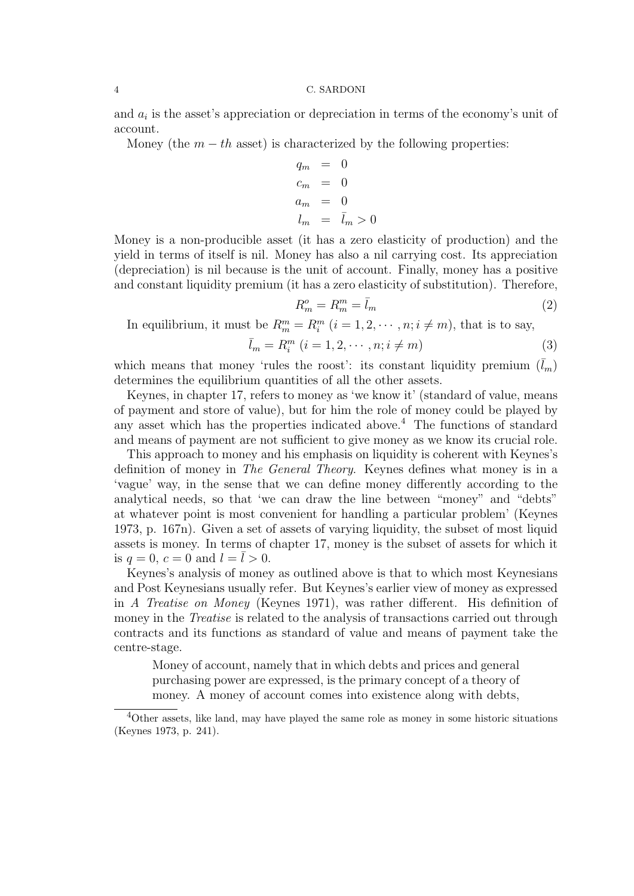and  $a_i$  is the asset's appreciation or depreciation in terms of the economy's unit of account.

Money (the  $m - th$  asset) is characterized by the following properties:

$$
q_m = 0
$$
  
\n
$$
c_m = 0
$$
  
\n
$$
a_m = 0
$$
  
\n
$$
l_m = \bar{l}_m > 0
$$

Money is a non-producible asset (it has a zero elasticity of production) and the yield in terms of itself is nil. Money has also a nil carrying cost. Its appreciation (depreciation) is nil because is the unit of account. Finally, money has a positive and constant liquidity premium (it has a zero elasticity of substitution). Therefore,

$$
R_m^o = R_m^m = \bar{l}_m \tag{2}
$$

In equilibrium, it must be  $R_m^m = R_i^m$   $(i = 1, 2, \dots, n; i \neq m)$ , that is to say,

$$
\bar{l}_m = R_i^m \ (i = 1, 2, \cdots, n; i \neq m)
$$
\n(3)

which means that money 'rules the roost': its constant liquidity premium  $(l_m)$ determines the equilibrium quantities of all the other assets.

Keynes, in chapter 17, refers to money as 'we know it' (standard of value, means of payment and store of value), but for him the role of money could be played by any asset which has the properties indicated above.<sup>4</sup> The functions of standard and means of payment are not sufficient to give money as we know its crucial role.

This approach to money and his emphasis on liquidity is coherent with Keynes's definition of money in The General Theory. Keynes defines what money is in a 'vague' way, in the sense that we can define money differently according to the analytical needs, so that 'we can draw the line between "money" and "debts" at whatever point is most convenient for handling a particular problem' (Keynes 1973, p. 167n). Given a set of assets of varying liquidity, the subset of most liquid assets is money. In terms of chapter 17, money is the subset of assets for which it is  $q = 0$ ,  $c = 0$  and  $l = \bar{l} > 0$ .

Keynes's analysis of money as outlined above is that to which most Keynesians and Post Keynesians usually refer. But Keynes's earlier view of money as expressed in A Treatise on Money (Keynes 1971), was rather different. His definition of money in the *Treatise* is related to the analysis of transactions carried out through contracts and its functions as standard of value and means of payment take the centre-stage.

Money of account, namely that in which debts and prices and general purchasing power are expressed, is the primary concept of a theory of money. A money of account comes into existence along with debts,

<sup>4</sup>Other assets, like land, may have played the same role as money in some historic situations (Keynes 1973, p. 241).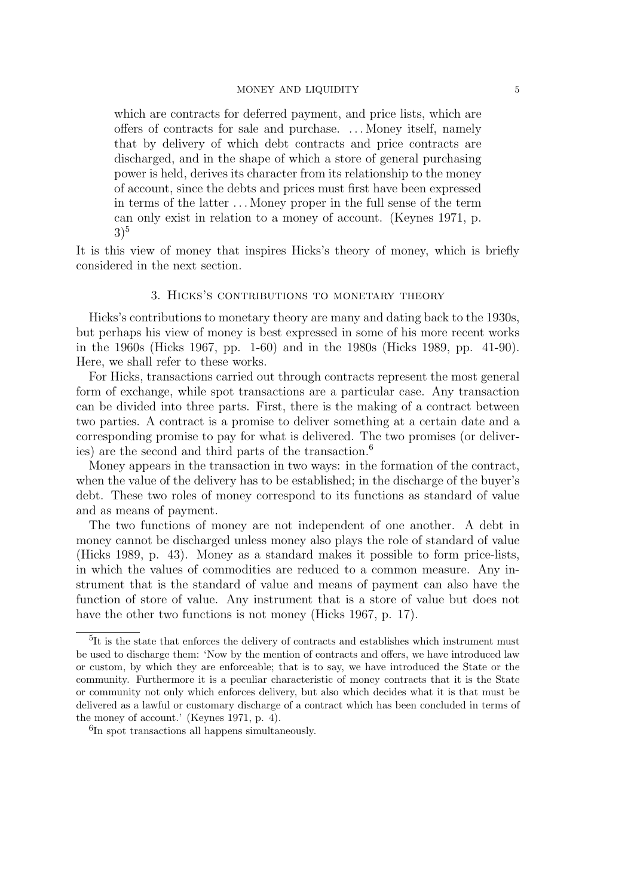#### MONEY AND LIQUIDITY 5

which are contracts for deferred payment, and price lists, which are offers of contracts for sale and purchase. . . . Money itself, namely that by delivery of which debt contracts and price contracts are discharged, and in the shape of which a store of general purchasing power is held, derives its character from its relationship to the money of account, since the debts and prices must first have been expressed in terms of the latter . . . Money proper in the full sense of the term can only exist in relation to a money of account. (Keynes 1971, p.  $(3)^5$ 

It is this view of money that inspires Hicks's theory of money, which is briefly considered in the next section.

# 3. Hicks's contributions to monetary theory

Hicks's contributions to monetary theory are many and dating back to the 1930s, but perhaps his view of money is best expressed in some of his more recent works in the 1960s (Hicks 1967, pp. 1-60) and in the 1980s (Hicks 1989, pp. 41-90). Here, we shall refer to these works.

For Hicks, transactions carried out through contracts represent the most general form of exchange, while spot transactions are a particular case. Any transaction can be divided into three parts. First, there is the making of a contract between two parties. A contract is a promise to deliver something at a certain date and a corresponding promise to pay for what is delivered. The two promises (or deliveries) are the second and third parts of the transaction.<sup>6</sup>

Money appears in the transaction in two ways: in the formation of the contract, when the value of the delivery has to be established; in the discharge of the buyer's debt. These two roles of money correspond to its functions as standard of value and as means of payment.

The two functions of money are not independent of one another. A debt in money cannot be discharged unless money also plays the role of standard of value (Hicks 1989, p. 43). Money as a standard makes it possible to form price-lists, in which the values of commodities are reduced to a common measure. Any instrument that is the standard of value and means of payment can also have the function of store of value. Any instrument that is a store of value but does not have the other two functions is not money (Hicks 1967, p. 17).

<sup>&</sup>lt;sup>5</sup>It is the state that enforces the delivery of contracts and establishes which instrument must be used to discharge them: 'Now by the mention of contracts and offers, we have introduced law or custom, by which they are enforceable; that is to say, we have introduced the State or the community. Furthermore it is a peculiar characteristic of money contracts that it is the State or community not only which enforces delivery, but also which decides what it is that must be delivered as a lawful or customary discharge of a contract which has been concluded in terms of the money of account.' (Keynes 1971, p. 4).

 ${}^{6}$ In spot transactions all happens simultaneously.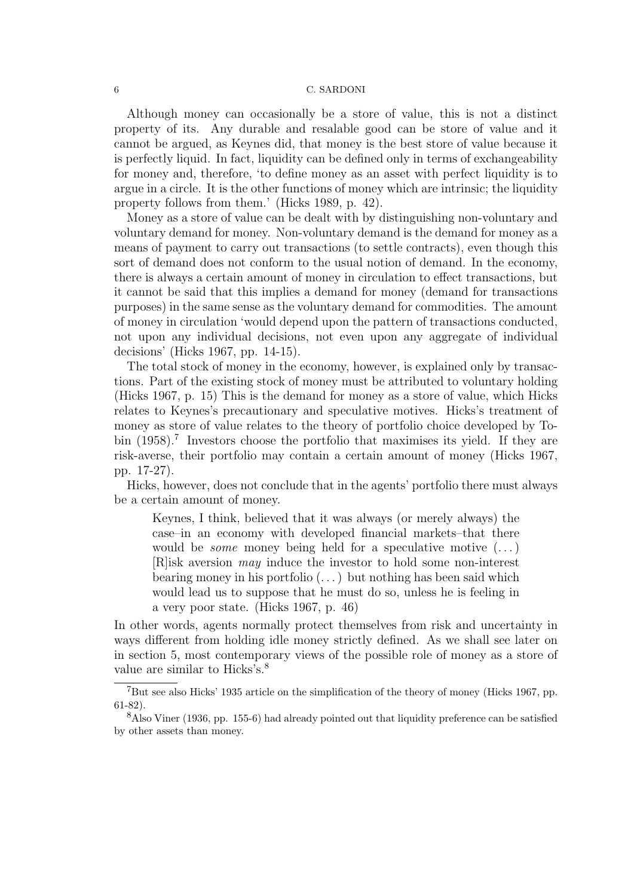Although money can occasionally be a store of value, this is not a distinct property of its. Any durable and resalable good can be store of value and it cannot be argued, as Keynes did, that money is the best store of value because it is perfectly liquid. In fact, liquidity can be defined only in terms of exchangeability for money and, therefore, 'to define money as an asset with perfect liquidity is to argue in a circle. It is the other functions of money which are intrinsic; the liquidity property follows from them.' (Hicks 1989, p. 42).

Money as a store of value can be dealt with by distinguishing non-voluntary and voluntary demand for money. Non-voluntary demand is the demand for money as a means of payment to carry out transactions (to settle contracts), even though this sort of demand does not conform to the usual notion of demand. In the economy, there is always a certain amount of money in circulation to effect transactions, but it cannot be said that this implies a demand for money (demand for transactions purposes) in the same sense as the voluntary demand for commodities. The amount of money in circulation 'would depend upon the pattern of transactions conducted, not upon any individual decisions, not even upon any aggregate of individual decisions' (Hicks 1967, pp. 14-15).

The total stock of money in the economy, however, is explained only by transactions. Part of the existing stock of money must be attributed to voluntary holding (Hicks 1967, p. 15) This is the demand for money as a store of value, which Hicks relates to Keynes's precautionary and speculative motives. Hicks's treatment of money as store of value relates to the theory of portfolio choice developed by Tobin (1958).<sup>7</sup> Investors choose the portfolio that maximises its yield. If they are risk-averse, their portfolio may contain a certain amount of money (Hicks 1967, pp. 17-27).

Hicks, however, does not conclude that in the agents' portfolio there must always be a certain amount of money.

Keynes, I think, believed that it was always (or merely always) the case–in an economy with developed financial markets–that there would be *some* money being held for a speculative motive  $(\dots)$ [R]isk aversion may induce the investor to hold some non-interest bearing money in his portfolio  $(\ldots)$  but nothing has been said which would lead us to suppose that he must do so, unless he is feeling in a very poor state. (Hicks 1967, p. 46)

In other words, agents normally protect themselves from risk and uncertainty in ways different from holding idle money strictly defined. As we shall see later on in section 5, most contemporary views of the possible role of money as a store of value are similar to Hicks's.<sup>8</sup>

<sup>7</sup>But see also Hicks' 1935 article on the simplification of the theory of money (Hicks 1967, pp. 61-82).

<sup>8</sup>Also Viner (1936, pp. 155-6) had already pointed out that liquidity preference can be satisfied by other assets than money.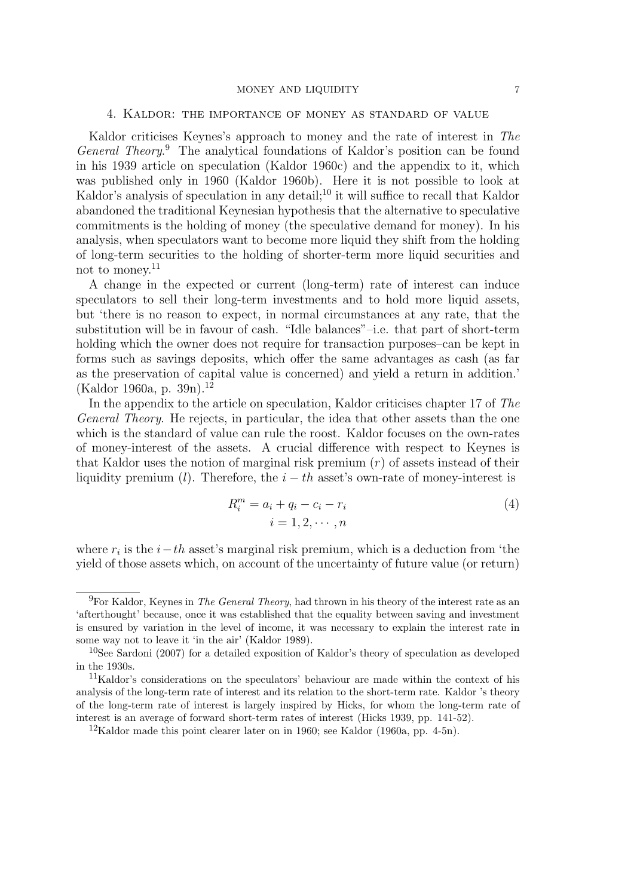#### MONEY AND LIQUIDITY 7

#### 4. Kaldor: the importance of money as standard of value

Kaldor criticises Keynes's approach to money and the rate of interest in The General Theory. <sup>9</sup> The analytical foundations of Kaldor's position can be found in his 1939 article on speculation (Kaldor 1960c) and the appendix to it, which was published only in 1960 (Kaldor 1960b). Here it is not possible to look at Kaldor's analysis of speculation in any detail;<sup>10</sup> it will suffice to recall that Kaldor abandoned the traditional Keynesian hypothesis that the alternative to speculative commitments is the holding of money (the speculative demand for money). In his analysis, when speculators want to become more liquid they shift from the holding of long-term securities to the holding of shorter-term more liquid securities and not to money.<sup>11</sup>

A change in the expected or current (long-term) rate of interest can induce speculators to sell their long-term investments and to hold more liquid assets, but 'there is no reason to expect, in normal circumstances at any rate, that the substitution will be in favour of cash. "Idle balances"–i.e. that part of short-term holding which the owner does not require for transaction purposes–can be kept in forms such as savings deposits, which offer the same advantages as cash (as far as the preservation of capital value is concerned) and yield a return in addition.'  $(Kaldor 1960a, p. 39n).<sup>12</sup>$ 

In the appendix to the article on speculation, Kaldor criticises chapter 17 of The General Theory. He rejects, in particular, the idea that other assets than the one which is the standard of value can rule the roost. Kaldor focuses on the own-rates of money-interest of the assets. A crucial difference with respect to Keynes is that Kaldor uses the notion of marginal risk premium  $(r)$  of assets instead of their liquidity premium (l). Therefore, the  $i - th$  asset's own-rate of money-interest is

$$
R_i^m = a_i + q_i - c_i - r_i
$$
  
\n
$$
i = 1, 2, \cdots, n
$$
\n(4)

where  $r_i$  is the  $i-th$  asset's marginal risk premium, which is a deduction from 'the yield of those assets which, on account of the uncertainty of future value (or return)

<sup>&</sup>lt;sup>9</sup>For Kaldor, Keynes in *The General Theory*, had thrown in his theory of the interest rate as an 'afterthought' because, once it was established that the equality between saving and investment is ensured by variation in the level of income, it was necessary to explain the interest rate in some way not to leave it 'in the air' (Kaldor 1989).

<sup>&</sup>lt;sup>10</sup>See Sardoni (2007) for a detailed exposition of Kaldor's theory of speculation as developed in the 1930s.

<sup>11</sup>Kaldor's considerations on the speculators' behaviour are made within the context of his analysis of the long-term rate of interest and its relation to the short-term rate. Kaldor 's theory of the long-term rate of interest is largely inspired by Hicks, for whom the long-term rate of interest is an average of forward short-term rates of interest (Hicks 1939, pp. 141-52).

<sup>&</sup>lt;sup>12</sup>Kaldor made this point clearer later on in 1960; see Kaldor (1960a, pp. 4-5n).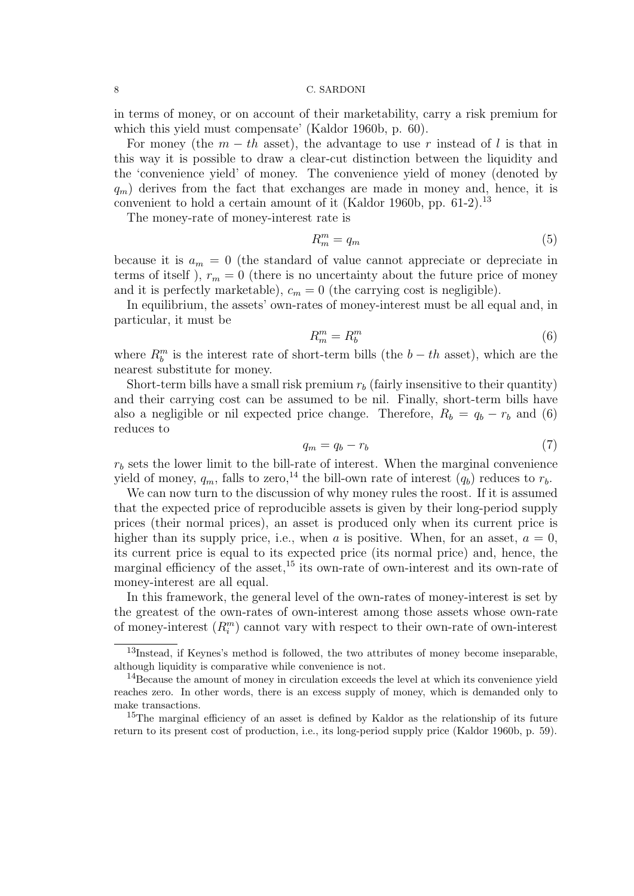in terms of money, or on account of their marketability, carry a risk premium for which this yield must compensate' (Kaldor 1960b, p. 60).

For money (the  $m-th$  asset), the advantage to use r instead of l is that in this way it is possible to draw a clear-cut distinction between the liquidity and the 'convenience yield' of money. The convenience yield of money (denoted by  $q_m$ ) derives from the fact that exchanges are made in money and, hence, it is convenient to hold a certain amount of it (Kaldor 1960b, pp. 61-2).<sup>13</sup>

The money-rate of money-interest rate is

$$
R_m^m = q_m \tag{5}
$$

because it is  $a_m = 0$  (the standard of value cannot appreciate or depreciate in terms of itself),  $r_m = 0$  (there is no uncertainty about the future price of money and it is perfectly marketable),  $c_m = 0$  (the carrying cost is negligible).

In equilibrium, the assets' own-rates of money-interest must be all equal and, in particular, it must be

$$
R_m^m = R_b^m \tag{6}
$$

where  $R_b^m$  is the interest rate of short-term bills (the  $b-th$  asset), which are the nearest substitute for money.

Short-term bills have a small risk premium  $r<sub>b</sub>$  (fairly insensitive to their quantity) and their carrying cost can be assumed to be nil. Finally, short-term bills have also a negligible or nil expected price change. Therefore,  $R_b = q_b - r_b$  and (6) reduces to

$$
q_m = q_b - r_b \tag{7}
$$

 $r_b$  sets the lower limit to the bill-rate of interest. When the marginal convenience yield of money,  $q_m$ , falls to zero,<sup>14</sup> the bill-own rate of interest  $(q_b)$  reduces to  $r_b$ .

We can now turn to the discussion of why money rules the roost. If it is assumed that the expected price of reproducible assets is given by their long-period supply prices (their normal prices), an asset is produced only when its current price is higher than its supply price, i.e., when a is positive. When, for an asset,  $a = 0$ , its current price is equal to its expected price (its normal price) and, hence, the marginal efficiency of the asset,<sup>15</sup> its own-rate of own-interest and its own-rate of money-interest are all equal.

In this framework, the general level of the own-rates of money-interest is set by the greatest of the own-rates of own-interest among those assets whose own-rate of money-interest  $(R_i^m)$  cannot vary with respect to their own-rate of own-interest

<sup>&</sup>lt;sup>13</sup>Instead, if Keynes's method is followed, the two attributes of money become inseparable, although liquidity is comparative while convenience is not.

<sup>&</sup>lt;sup>14</sup>Because the amount of money in circulation exceeds the level at which its convenience yield reaches zero. In other words, there is an excess supply of money, which is demanded only to make transactions.

<sup>&</sup>lt;sup>15</sup>The marginal efficiency of an asset is defined by Kaldor as the relationship of its future return to its present cost of production, i.e., its long-period supply price (Kaldor 1960b, p. 59).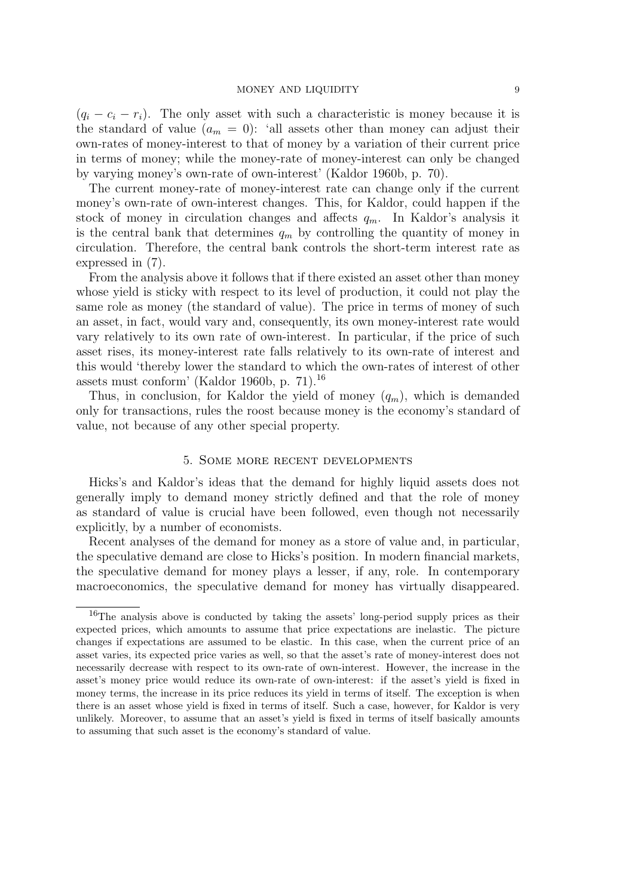$(q_i - c_i - r_i)$ . The only asset with such a characteristic is money because it is the standard of value  $(a_m = 0)$ : 'all assets other than money can adjust their own-rates of money-interest to that of money by a variation of their current price in terms of money; while the money-rate of money-interest can only be changed by varying money's own-rate of own-interest' (Kaldor 1960b, p. 70).

The current money-rate of money-interest rate can change only if the current money's own-rate of own-interest changes. This, for Kaldor, could happen if the stock of money in circulation changes and affects  $q_m$ . In Kaldor's analysis it is the central bank that determines  $q_m$  by controlling the quantity of money in circulation. Therefore, the central bank controls the short-term interest rate as expressed in (7).

From the analysis above it follows that if there existed an asset other than money whose yield is sticky with respect to its level of production, it could not play the same role as money (the standard of value). The price in terms of money of such an asset, in fact, would vary and, consequently, its own money-interest rate would vary relatively to its own rate of own-interest. In particular, if the price of such asset rises, its money-interest rate falls relatively to its own-rate of interest and this would 'thereby lower the standard to which the own-rates of interest of other assets must conform' (Kaldor 1960b, p. 71).<sup>16</sup>

Thus, in conclusion, for Kaldor the yield of money  $(q_m)$ , which is demanded only for transactions, rules the roost because money is the economy's standard of value, not because of any other special property.

# 5. Some more recent developments

Hicks's and Kaldor's ideas that the demand for highly liquid assets does not generally imply to demand money strictly defined and that the role of money as standard of value is crucial have been followed, even though not necessarily explicitly, by a number of economists.

Recent analyses of the demand for money as a store of value and, in particular, the speculative demand are close to Hicks's position. In modern financial markets, the speculative demand for money plays a lesser, if any, role. In contemporary macroeconomics, the speculative demand for money has virtually disappeared.

<sup>16</sup>The analysis above is conducted by taking the assets' long-period supply prices as their expected prices, which amounts to assume that price expectations are inelastic. The picture changes if expectations are assumed to be elastic. In this case, when the current price of an asset varies, its expected price varies as well, so that the asset's rate of money-interest does not necessarily decrease with respect to its own-rate of own-interest. However, the increase in the asset's money price would reduce its own-rate of own-interest: if the asset's yield is fixed in money terms, the increase in its price reduces its yield in terms of itself. The exception is when there is an asset whose yield is fixed in terms of itself. Such a case, however, for Kaldor is very unlikely. Moreover, to assume that an asset's yield is fixed in terms of itself basically amounts to assuming that such asset is the economy's standard of value.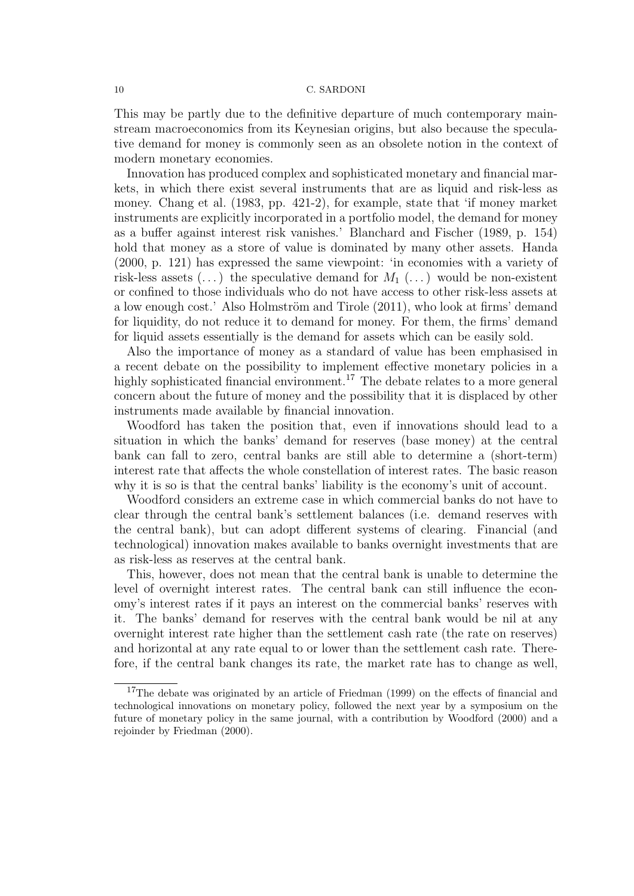This may be partly due to the definitive departure of much contemporary mainstream macroeconomics from its Keynesian origins, but also because the speculative demand for money is commonly seen as an obsolete notion in the context of modern monetary economies.

Innovation has produced complex and sophisticated monetary and financial markets, in which there exist several instruments that are as liquid and risk-less as money. Chang et al. (1983, pp. 421-2), for example, state that 'if money market instruments are explicitly incorporated in a portfolio model, the demand for money as a buffer against interest risk vanishes.' Blanchard and Fischer (1989, p. 154) hold that money as a store of value is dominated by many other assets. Handa (2000, p. 121) has expressed the same viewpoint: 'in economies with a variety of risk-less assets  $(\dots)$  the speculative demand for  $M_1(\dots)$  would be non-existent or confined to those individuals who do not have access to other risk-less assets at a low enough cost.' Also Holmström and Tirole (2011), who look at firms' demand for liquidity, do not reduce it to demand for money. For them, the firms' demand for liquid assets essentially is the demand for assets which can be easily sold.

Also the importance of money as a standard of value has been emphasised in a recent debate on the possibility to implement effective monetary policies in a highly sophisticated financial environment.<sup>17</sup> The debate relates to a more general concern about the future of money and the possibility that it is displaced by other instruments made available by financial innovation.

Woodford has taken the position that, even if innovations should lead to a situation in which the banks' demand for reserves (base money) at the central bank can fall to zero, central banks are still able to determine a (short-term) interest rate that affects the whole constellation of interest rates. The basic reason why it is so is that the central banks' liability is the economy's unit of account.

Woodford considers an extreme case in which commercial banks do not have to clear through the central bank's settlement balances (i.e. demand reserves with the central bank), but can adopt different systems of clearing. Financial (and technological) innovation makes available to banks overnight investments that are as risk-less as reserves at the central bank.

This, however, does not mean that the central bank is unable to determine the level of overnight interest rates. The central bank can still influence the economy's interest rates if it pays an interest on the commercial banks' reserves with it. The banks' demand for reserves with the central bank would be nil at any overnight interest rate higher than the settlement cash rate (the rate on reserves) and horizontal at any rate equal to or lower than the settlement cash rate. Therefore, if the central bank changes its rate, the market rate has to change as well,

<sup>&</sup>lt;sup>17</sup>The debate was originated by an article of Friedman (1999) on the effects of financial and technological innovations on monetary policy, followed the next year by a symposium on the future of monetary policy in the same journal, with a contribution by Woodford (2000) and a rejoinder by Friedman (2000).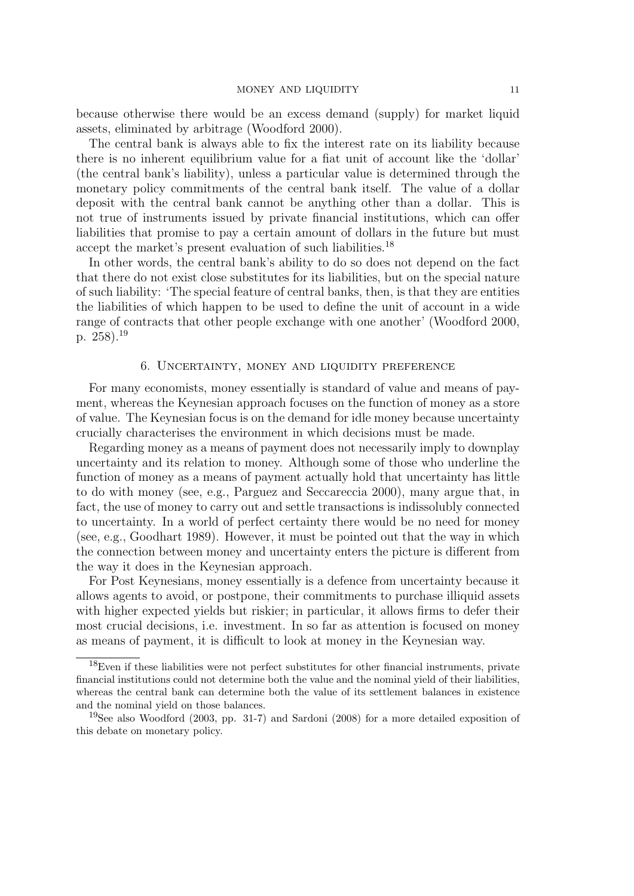because otherwise there would be an excess demand (supply) for market liquid assets, eliminated by arbitrage (Woodford 2000).

The central bank is always able to fix the interest rate on its liability because there is no inherent equilibrium value for a fiat unit of account like the 'dollar' (the central bank's liability), unless a particular value is determined through the monetary policy commitments of the central bank itself. The value of a dollar deposit with the central bank cannot be anything other than a dollar. This is not true of instruments issued by private financial institutions, which can offer liabilities that promise to pay a certain amount of dollars in the future but must accept the market's present evaluation of such liabilities.<sup>18</sup>

In other words, the central bank's ability to do so does not depend on the fact that there do not exist close substitutes for its liabilities, but on the special nature of such liability: 'The special feature of central banks, then, is that they are entities the liabilities of which happen to be used to define the unit of account in a wide range of contracts that other people exchange with one another' (Woodford 2000, p. 258).<sup>19</sup>

#### 6. Uncertainty, money and liquidity preference

For many economists, money essentially is standard of value and means of payment, whereas the Keynesian approach focuses on the function of money as a store of value. The Keynesian focus is on the demand for idle money because uncertainty crucially characterises the environment in which decisions must be made.

Regarding money as a means of payment does not necessarily imply to downplay uncertainty and its relation to money. Although some of those who underline the function of money as a means of payment actually hold that uncertainty has little to do with money (see, e.g., Parguez and Seccareccia 2000), many argue that, in fact, the use of money to carry out and settle transactions is indissolubly connected to uncertainty. In a world of perfect certainty there would be no need for money (see, e.g., Goodhart 1989). However, it must be pointed out that the way in which the connection between money and uncertainty enters the picture is different from the way it does in the Keynesian approach.

For Post Keynesians, money essentially is a defence from uncertainty because it allows agents to avoid, or postpone, their commitments to purchase illiquid assets with higher expected yields but riskier; in particular, it allows firms to defer their most crucial decisions, i.e. investment. In so far as attention is focused on money as means of payment, it is difficult to look at money in the Keynesian way.

<sup>&</sup>lt;sup>18</sup>Even if these liabilities were not perfect substitutes for other financial instruments, private financial institutions could not determine both the value and the nominal yield of their liabilities, whereas the central bank can determine both the value of its settlement balances in existence and the nominal yield on those balances.

<sup>19</sup>See also Woodford (2003, pp. 31-7) and Sardoni (2008) for a more detailed exposition of this debate on monetary policy.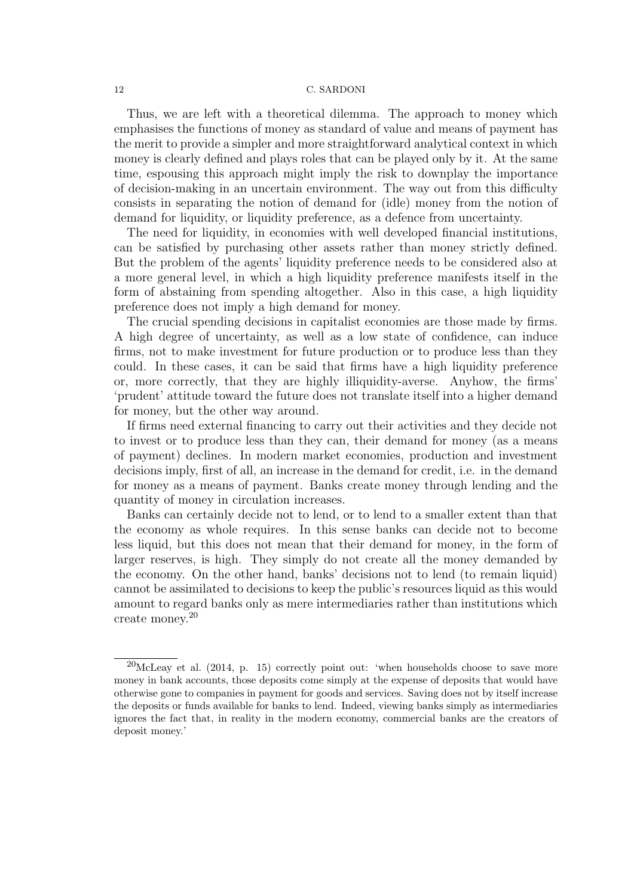Thus, we are left with a theoretical dilemma. The approach to money which emphasises the functions of money as standard of value and means of payment has the merit to provide a simpler and more straightforward analytical context in which money is clearly defined and plays roles that can be played only by it. At the same time, espousing this approach might imply the risk to downplay the importance of decision-making in an uncertain environment. The way out from this difficulty consists in separating the notion of demand for (idle) money from the notion of demand for liquidity, or liquidity preference, as a defence from uncertainty.

The need for liquidity, in economies with well developed financial institutions, can be satisfied by purchasing other assets rather than money strictly defined. But the problem of the agents' liquidity preference needs to be considered also at a more general level, in which a high liquidity preference manifests itself in the form of abstaining from spending altogether. Also in this case, a high liquidity preference does not imply a high demand for money.

The crucial spending decisions in capitalist economies are those made by firms. A high degree of uncertainty, as well as a low state of confidence, can induce firms, not to make investment for future production or to produce less than they could. In these cases, it can be said that firms have a high liquidity preference or, more correctly, that they are highly illiquidity-averse. Anyhow, the firms' 'prudent' attitude toward the future does not translate itself into a higher demand for money, but the other way around.

If firms need external financing to carry out their activities and they decide not to invest or to produce less than they can, their demand for money (as a means of payment) declines. In modern market economies, production and investment decisions imply, first of all, an increase in the demand for credit, i.e. in the demand for money as a means of payment. Banks create money through lending and the quantity of money in circulation increases.

Banks can certainly decide not to lend, or to lend to a smaller extent than that the economy as whole requires. In this sense banks can decide not to become less liquid, but this does not mean that their demand for money, in the form of larger reserves, is high. They simply do not create all the money demanded by the economy. On the other hand, banks' decisions not to lend (to remain liquid) cannot be assimilated to decisions to keep the public's resources liquid as this would amount to regard banks only as mere intermediaries rather than institutions which create money.<sup>20</sup>

 $^{20}$ McLeay et al. (2014, p. 15) correctly point out: 'when households choose to save more money in bank accounts, those deposits come simply at the expense of deposits that would have otherwise gone to companies in payment for goods and services. Saving does not by itself increase the deposits or funds available for banks to lend. Indeed, viewing banks simply as intermediaries ignores the fact that, in reality in the modern economy, commercial banks are the creators of deposit money.'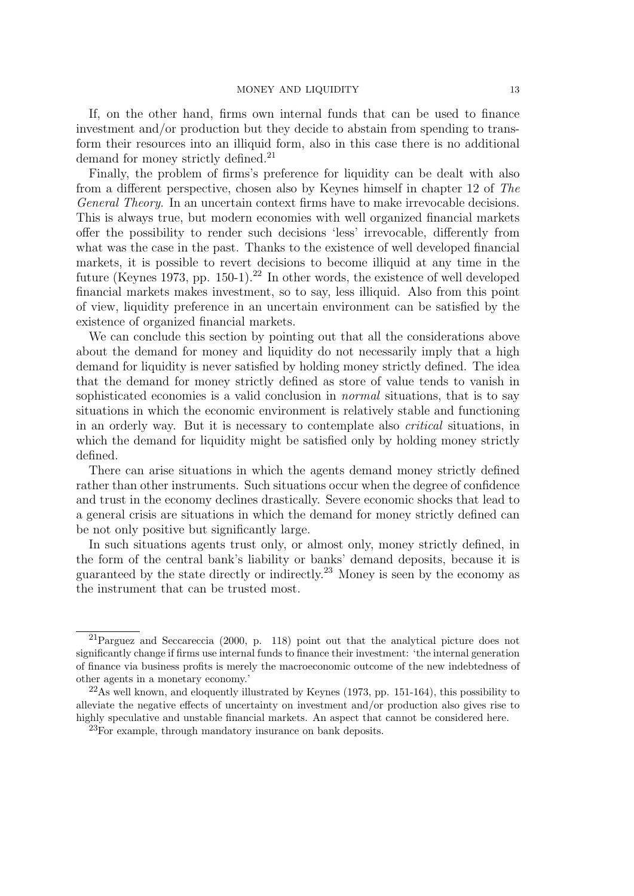If, on the other hand, firms own internal funds that can be used to finance investment and/or production but they decide to abstain from spending to transform their resources into an illiquid form, also in this case there is no additional demand for money strictly defined.<sup>21</sup>

Finally, the problem of firms's preference for liquidity can be dealt with also from a different perspective, chosen also by Keynes himself in chapter 12 of The General Theory. In an uncertain context firms have to make irrevocable decisions. This is always true, but modern economies with well organized financial markets offer the possibility to render such decisions 'less' irrevocable, differently from what was the case in the past. Thanks to the existence of well developed financial markets, it is possible to revert decisions to become illiquid at any time in the future (Keynes 1973, pp. 150-1).<sup>22</sup> In other words, the existence of well developed financial markets makes investment, so to say, less illiquid. Also from this point of view, liquidity preference in an uncertain environment can be satisfied by the existence of organized financial markets.

We can conclude this section by pointing out that all the considerations above about the demand for money and liquidity do not necessarily imply that a high demand for liquidity is never satisfied by holding money strictly defined. The idea that the demand for money strictly defined as store of value tends to vanish in sophisticated economies is a valid conclusion in *normal* situations, that is to say situations in which the economic environment is relatively stable and functioning in an orderly way. But it is necessary to contemplate also critical situations, in which the demand for liquidity might be satisfied only by holding money strictly defined.

There can arise situations in which the agents demand money strictly defined rather than other instruments. Such situations occur when the degree of confidence and trust in the economy declines drastically. Severe economic shocks that lead to a general crisis are situations in which the demand for money strictly defined can be not only positive but significantly large.

In such situations agents trust only, or almost only, money strictly defined, in the form of the central bank's liability or banks' demand deposits, because it is guaranteed by the state directly or indirectly.<sup>23</sup> Money is seen by the economy as the instrument that can be trusted most.

<sup>21</sup>Parguez and Seccareccia (2000, p. 118) point out that the analytical picture does not significantly change if firms use internal funds to finance their investment: 'the internal generation of finance via business profits is merely the macroeconomic outcome of the new indebtedness of other agents in a monetary economy.'

 $^{22}$ As well known, and eloquently illustrated by Keynes (1973, pp. 151-164), this possibility to alleviate the negative effects of uncertainty on investment and/or production also gives rise to highly speculative and unstable financial markets. An aspect that cannot be considered here.

 $^{23}$ For example, through mandatory insurance on bank deposits.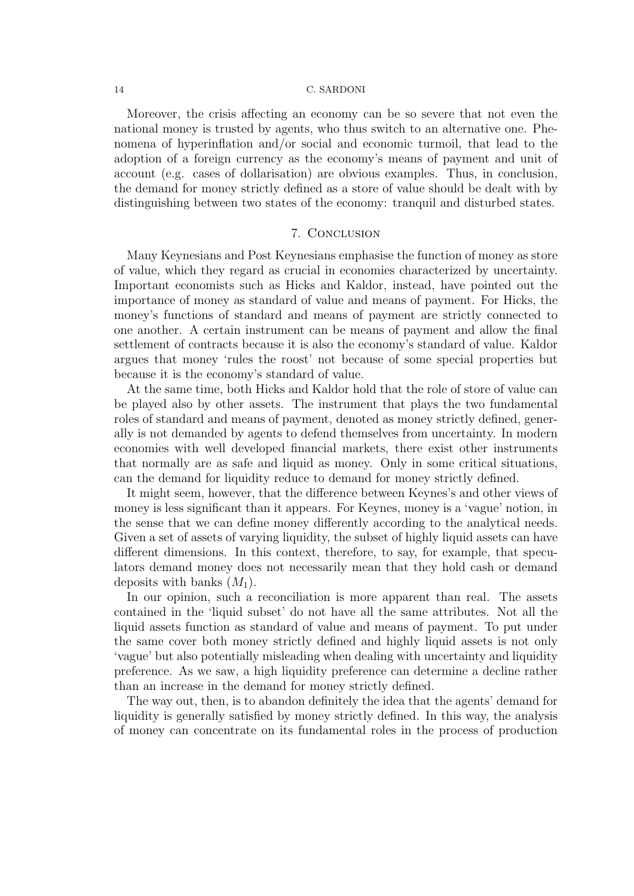Moreover, the crisis affecting an economy can be so severe that not even the national money is trusted by agents, who thus switch to an alternative one. Phenomena of hyperinflation and/or social and economic turmoil, that lead to the adoption of a foreign currency as the economy's means of payment and unit of account (e.g. cases of dollarisation) are obvious examples. Thus, in conclusion, the demand for money strictly defined as a store of value should be dealt with by distinguishing between two states of the economy: tranquil and disturbed states.

# 7. Conclusion

Many Keynesians and Post Keynesians emphasise the function of money as store of value, which they regard as crucial in economies characterized by uncertainty. Important economists such as Hicks and Kaldor, instead, have pointed out the importance of money as standard of value and means of payment. For Hicks, the money's functions of standard and means of payment are strictly connected to one another. A certain instrument can be means of payment and allow the final settlement of contracts because it is also the economy's standard of value. Kaldor argues that money 'rules the roost' not because of some special properties but because it is the economy's standard of value.

At the same time, both Hicks and Kaldor hold that the role of store of value can be played also by other assets. The instrument that plays the two fundamental roles of standard and means of payment, denoted as money strictly defined, generally is not demanded by agents to defend themselves from uncertainty. In modern economies with well developed financial markets, there exist other instruments that normally are as safe and liquid as money. Only in some critical situations, can the demand for liquidity reduce to demand for money strictly defined.

It might seem, however, that the difference between Keynes's and other views of money is less significant than it appears. For Keynes, money is a 'vague' notion, in the sense that we can define money differently according to the analytical needs. Given a set of assets of varying liquidity, the subset of highly liquid assets can have different dimensions. In this context, therefore, to say, for example, that speculators demand money does not necessarily mean that they hold cash or demand deposits with banks  $(M_1)$ .

In our opinion, such a reconciliation is more apparent than real. The assets contained in the 'liquid subset' do not have all the same attributes. Not all the liquid assets function as standard of value and means of payment. To put under the same cover both money strictly defined and highly liquid assets is not only 'vague' but also potentially misleading when dealing with uncertainty and liquidity preference. As we saw, a high liquidity preference can determine a decline rather than an increase in the demand for money strictly defined.

The way out, then, is to abandon definitely the idea that the agents' demand for liquidity is generally satisfied by money strictly defined. In this way, the analysis of money can concentrate on its fundamental roles in the process of production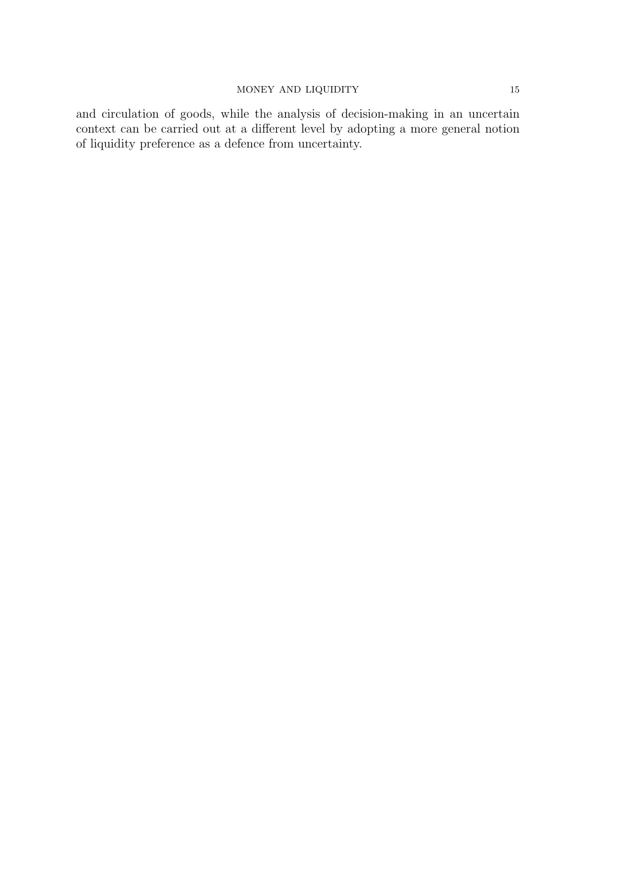and circulation of goods, while the analysis of decision-making in an uncertain context can be carried out at a different level by adopting a more general notion of liquidity preference as a defence from uncertainty.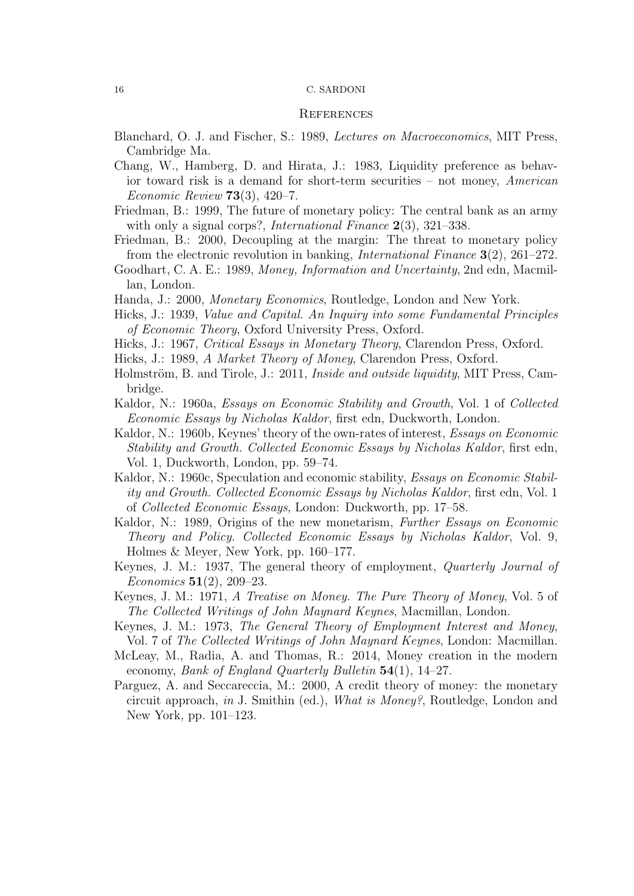#### **REFERENCES**

- Blanchard, O. J. and Fischer, S.: 1989, Lectures on Macroeconomics, MIT Press, Cambridge Ma.
- Chang, W., Hamberg, D. and Hirata, J.: 1983, Liquidity preference as behavior toward risk is a demand for short-term securities – not money, American Economic Review 73(3), 420–7.
- Friedman, B.: 1999, The future of monetary policy: The central bank as an army with only a signal corps?, *International Finance*  $2(3)$ , 321–338.
- Friedman, B.: 2000, Decoupling at the margin: The threat to monetary policy from the electronic revolution in banking, International Finance 3(2), 261–272.
- Goodhart, C. A. E.: 1989, Money, Information and Uncertainty, 2nd edn, Macmillan, London.
- Handa, J.: 2000, Monetary Economics, Routledge, London and New York.
- Hicks, J.: 1939, Value and Capital. An Inquiry into some Fundamental Principles of Economic Theory, Oxford University Press, Oxford.
- Hicks, J.: 1967, Critical Essays in Monetary Theory, Clarendon Press, Oxford.
- Hicks, J.: 1989, A Market Theory of Money, Clarendon Press, Oxford.
- Holmström, B. and Tirole, J.: 2011, *Inside and outside liquidity*, MIT Press, Cambridge.
- Kaldor, N.: 1960a, Essays on Economic Stability and Growth, Vol. 1 of Collected Economic Essays by Nicholas Kaldor, first edn, Duckworth, London.
- Kaldor, N.: 1960b, Keynes' theory of the own-rates of interest, *Essays on Economic* Stability and Growth. Collected Economic Essays by Nicholas Kaldor, first edn, Vol. 1, Duckworth, London, pp. 59–74.
- Kaldor, N.: 1960c, Speculation and economic stability, *Essays on Economic Stabil*ity and Growth. Collected Economic Essays by Nicholas Kaldor, first edn, Vol. 1 of Collected Economic Essays, London: Duckworth, pp. 17–58.
- Kaldor, N.: 1989, Origins of the new monetarism, Further Essays on Economic Theory and Policy. Collected Economic Essays by Nicholas Kaldor, Vol. 9, Holmes & Meyer, New York, pp. 160–177.
- Keynes, J. M.: 1937, The general theory of employment, Quarterly Journal of *Economics* **51** $(2)$ , **209** $-23$ .
- Keynes, J. M.: 1971, A Treatise on Money. The Pure Theory of Money, Vol. 5 of The Collected Writings of John Maynard Keynes, Macmillan, London.
- Keynes, J. M.: 1973, The General Theory of Employment Interest and Money, Vol. 7 of The Collected Writings of John Maynard Keynes, London: Macmillan.
- McLeay, M., Radia, A. and Thomas, R.: 2014, Money creation in the modern economy, Bank of England Quarterly Bulletin  $54(1)$ , 14–27.
- Parguez, A. and Seccareccia, M.: 2000, A credit theory of money: the monetary circuit approach, in J. Smithin (ed.), What is Money?, Routledge, London and New York, pp. 101–123.